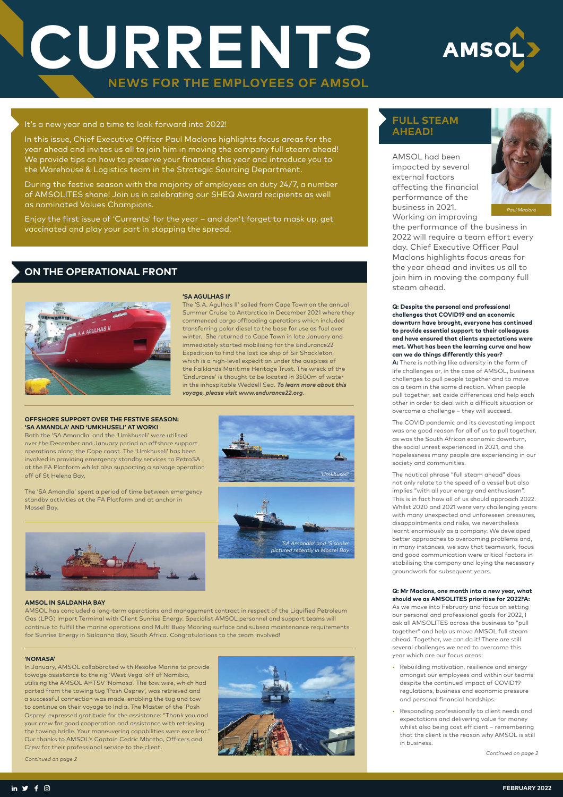# **CURRENTS NEWS FOR THE EMPLOYEES OF AMSOL**



### **FULL STEAM AHEAD!**

AMSOL had been impacted by several external factors affecting the financial performance of the business in 2021. Working on improving

the performance of the business in 2022 will require a team effort every day. Chief Executive Officer Paul Maclons highlights focus areas for the year ahead and invites us all to join him in moving the company full steam ahead.

**Q: Despite the personal and professional challenges that COVID19 and an economic downturn have brought, everyone has continued to provide essential support to their colleagues and have ensured that clients expectations were met. What has been the learning curve and how can we do things differently this year?**

**A:** There is nothing like adversity in the form of life challenges or, in the case of AMSOL, business challenges to pull people together and to move as a team in the same direction. When people pull together, set aside differences and help each other in order to deal with a difficult situation or overcome a challenge – they will succeed.

The COVID pandemic and its devastating impact was one good reason for all of us to pull together, as was the South African economic downturn, the social unrest experienced in 2021, and the hopelessness many people are experiencing in our society and communities.

The nautical phrase "full steam ahead" does not only relate to the speed of a vessel but also implies "with all your energy and enthusiasm". This is in fact how all of us should approach 2022. Whilst 2020 and 2021 were very challenging years with many unexpected and unforeseen pressures, disappointments and risks, we nevertheless learnt enormously as a company. We developed better approaches to overcoming problems and, in many instances, we saw that teamwork, focus and good communication were critical factors in stabilising the company and laying the necessary groundwork for subsequent years.

**Q: Mr Maclons, one month into a new year, what should we as AMSOLITES prioritise for 2022?A:**

As we move into February and focus on setting our personal and professional goals for 2022, I ask all AMSOLITES across the business to "pull together" and help us move AMSOL full steam ahead. Together, we can do it! There are still several challenges we need to overcome this year which are our focus areas:

- Rebuilding motivation, resilience and energy amongst our employees and within our teams despite the continued impact of COVID19 regulations, business and economic pressure and personal financial hardships.
- Responding professionally to client needs and expectations and delivering value for money whilst also being cost efficient – remembering that the client is the reason why AMSOL is still in business.



### It's a new year and a time to look forward into 2022!

In this issue, Chief Executive Officer Paul Maclons highlights focus areas for the year ahead and invites us all to join him in moving the company full steam ahead! We provide tips on how to preserve your finances this year and introduce you to the Warehouse & Logistics team in the Strategic Sourcing Department.

During the festive season with the majority of employees on duty 24/7, a number of AMSOLITES shone! Join us in celebrating our SHEQ Award recipients as well as nominated Values Champions.

Enjoy the first issue of 'Currents' for the year – and don't forget to mask up, get vaccinated and play your part in stopping the spread.

*Continued on page 2*

#### **'NOMASA'**

In January, AMSOL collaborated with Resolve Marine to provide towage assistance to the rig 'West Vega' off of Namibia, utilising the AMSOL AHTSV 'Nomasa'. The tow wire, which had parted from the towing tug 'Posh Osprey', was retrieved and a successful connection was made, enabling the tug and tow to continue on their voyage to India. The Master of the 'Posh Osprey' expressed gratitude for the assistance: "Thank you and your crew for good cooperation and assistance with retrieving the towing bridle. Your maneuvering capabilities were excellent." Our thanks to AMSOL's Captain Cedric Mbatha, Officers and Crew for their professional service to the client.

### **ON THE OPERATIONAL FRONT**



### **'SA AGULHAS II'**

The 'S.A. Agulhas II' sailed from Cape Town on the annual Summer Cruise to Antarctica in December 2021 where they commenced cargo offloading operations which included transferring polar diesel to the base for use as fuel over winter. She returned to Cape Town in late January and immediately started mobilising for the Endurance22 Expedition to find the lost ice ship of Sir Shackleton, which is a high-level expedition under the auspices of the Falklands Maritime Heritage Trust. The wreck of the 'Endurance' is thought to be located in 3500m of water in the inhospitable Weddell Sea. *To learn more about this voyage, please visit www.endurance22.org*.

### **OFFSHORE SUPPORT OVER THE FESTIVE SEASON: 'SA AMANDLA' AND 'UMKHUSELI' AT WORK!**

Both the 'SA Amandla' and the 'Umkhuseli' were utilised over the December and January period on offshore support operations along the Cape coast. The 'Umkhuseli' has been involved in providing emergency standby services to PetroSA at the FA Platform whilst also supporting a salvage operation off of St Helena Bay.

The 'SA Amandla' spent a period of time between emergency standby activities at the FA Platform and at anchor in Mossel Bay.



#### **AMSOL IN SALDANHA BAY**

AMSOL has concluded a long-term operations and management contract in respect of the Liquified Petroleum Gas (LPG) Import Terminal with Client Sunrise Energy. Specialist AMSOL personnel and support teams will continue to fulfill the marine operations and Multi Buoy Mooring surface and subsea maintenance requirements for Sunrise Energy in Saldanha Bay, South Africa. Congratulations to the team involved!

*Continued on page 2*



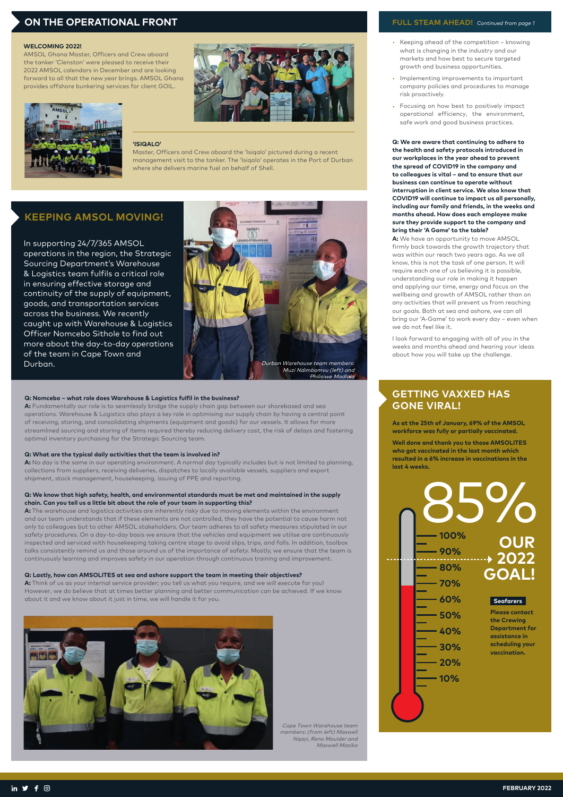

- Keeping ahead of the competition knowing what is changing in the industry and our markets and how best to secure targeted growth and business opportunities.
- Implementing improvements to important company policies and procedures to manage risk proactively.
- Focusing on how best to positively impact operational efficiency, the environment, safe work and good business practices.

**Q: We are aware that continuing to adhere to the health and safety protocols introduced in our workplaces in the year ahead to prevent the spread of COVID19 in the company and to colleagues is vital – and to ensure that our business can continue to operate without interruption in client service. We also know that COVID19 will continue to impact us all personally, including our family and friends, in the weeks and months ahead. How does each employee make sure they provide support to the company and bring their 'A Game' to the table?**

**A:** We have an opportunity to move AMSOL firmly back towards the growth trajectory that was within our reach two years ago. As we all know, this is not the task of one person. It will require each one of us believing it is possible, understanding our role in making it happen and applying our time, energy and focus on the wellbeing and growth of AMSOL rather than on any activities that will prevent us from reaching our goals. Both at sea and ashore, we can all bring our 'A-Game' to work every day – even when we do not feel like it.

I look forward to engaging with all of you in the weeks and months ahead and hearing your ideas about how you will take up the challenge.

### **FULL STEAM AHEAD!** *Continued from page 1*

#### **Q: Nomcebo – what role does Warehouse & Logistics fulfil in the business?**

**A:** Fundamentally our role is to seamlessly bridge the supply chain gap between our shorebased and sea operations. Warehouse & Logistics also plays a key role in optimising our supply chain by having a central point of receiving, storing, and consolidating shipments (equipment and goods) for our vessels. It allows for more streamlined sourcing and storing of items required thereby reducing delivery cost, the risk of delays and fostering optimal inventory purchasing for the Strategic Sourcing team.

#### **Q: What are the typical daily activities that the team is involved in?**

**A:** No day is the same in our operating environment. A normal day typically includes but is not limited to planning, collections from suppliers, receiving deliveries, dispatches to locally available vessels, suppliers and export shipment, stock management, housekeeping, issuing of PPE and reporting.

> Cape Town Warehouse team Cape Town Warehouse team<br>members: (from left) Maxwell n I own Warehouse team<br>pers: (from left) Maxwell<br>Nqayi, Reno Moulder and<br>Maxill Maxill Ngayi, Reno Moulder and<br>Maxwell Masiko

### **Q: We know that high safety, health, and environmental standards must be met and maintained in the supply chain. Can you tell us a little bit about the role of your team in supporting this?**

**A:** The warehouse and logistics activities are inherently risky due to moving elements within the environment and our team understands that if these elements are not controlled, they have the potential to cause harm not only to colleagues but to other AMSOL stakeholders. Our team adheres to all safety measures stipulated in our safety procedures. On a day-to-day basis we ensure that the vehicles and equipment we utilise are continuously inspected and serviced with housekeeping taking centre stage to avoid slips, trips, and falls. In addition, toolbox talks consistently remind us and those around us of the importance of safety. Mostly, we ensure that the team is continuously learning and improves safety in our operation through continuous training and improvement.

### **Q: Lastly, how can AMSOLITES at sea and ashore support the team in meeting their objectives?**

**A:** Think of us as your internal service provider; you tell us what you require, and we will execute for you! However, we do believe that at times better planning and better communication can be achieved. If we know about it and we know about it just in time, we will handle it for you.

### **KEEPING AMSOL MOVING!**

In supporting 24/7/365 AMSOL operations in the region, the Strategic Sourcing Department's Warehouse & Logistics team fulfils a critical role in ensuring effective storage and continuity of the supply of equipment, goods, and transportation services across the business. We recently caught up with Warehouse & Logistics Officer Nomcebo Sithole to find out more about the day-to-day operations



### **ON THE OPERATIONAL FRONT**

### **'ISIQALO'**

Master, Officers and Crew aboard the 'Isiqalo' pictured during a recent management visit to the tanker. The 'Isiqalo' operates in the Port of Durban where she delivers marine fuel on behalf of Shell.

#### **WELCOMING 2022!**

AMSOL Ghana Master, Officers and Crew aboard the tanker 'Clenston' were pleased to receive their 2022 AMSOL calendars in December and are looking forward to all that the new year brings. AMSOL Ghana provides offshore bunkering services for client GOIL.





### **GETTING VAXXED HAS GONE VIRAL!**

**As at the 25th of January, 69% of the AMSOL workforce was fully or partially vaccinated.** 

**Well done and thank you to those AMSOLITES who got vaccinated in the last month which resulted in a 6% increase in vaccinations in the last 4 weeks.**

**50% 40% 30% 20% 10%**





**Please contact the Crewing Department for assistance in scheduling your vaccination.**

in  $\vee$  f  $\odot$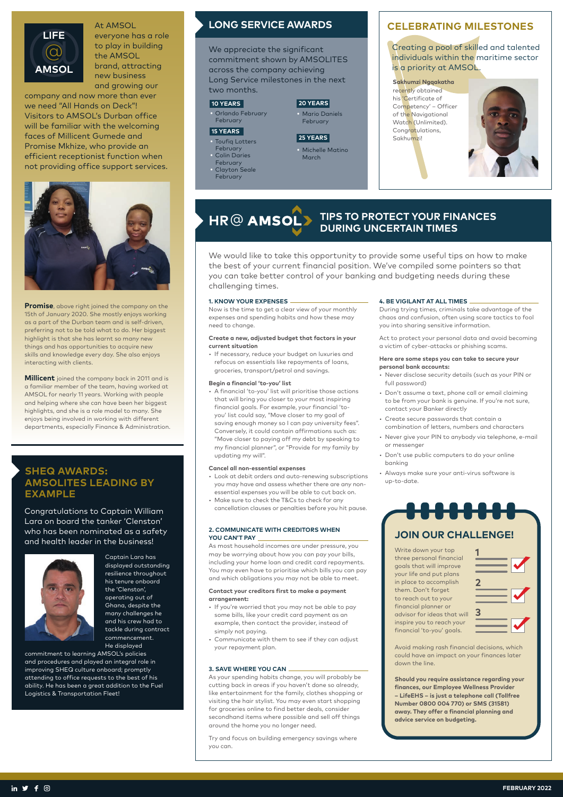We would like to take this opportunity to provide some useful tips on how to make the best of your current financial position. We've compiled some pointers so that you can take better control of your banking and budgeting needs during these challenging times.

### **1. KNOW YOUR EXPENSES**

Now is the time to get a clear view of your monthly expenses and spending habits and how these may need to change.

### **Create a new, adjusted budget that factors in your current situation**

• If necessary, reduce your budget on luxuries and refocus on essentials like repayments of loans, groceries, transport/petrol and savings.

### **Begin a financial 'to-you' list**

• A financial 'to-you' list will prioritise those actions that will bring you closer to your most inspiring financial goals. For example, your financial 'toyou' list could say, "Move closer to my goal of saving enough money so I can pay university fees". Conversely, it could contain affirmations such as: "Move closer to paying off my debt by speaking to my financial planner", or "Provide for my family by updating my will".

### **Cancel all non-essential expenses**

### **HR**@ **TIPS TO PROTECT YOUR FINANCES DURING UNCERTAIN TIMES**

- Look at debit orders and auto-renewing subscriptions you may have and assess whether there are any nonessential expenses you will be able to cut back on.
- Make sure to check the T&Cs to check for any cancellation clauses or penalties before you hit pause.

### **2. COMMUNICATE WITH CREDITORS WHEN YOU CAN'T PAY**

As most household incomes are under pressure, you may be worrying about how you can pay your bills, including your home loan and credit card repayments. You may even have to prioritise which bills you can pay and which obligations you may not be able to meet.

### **Contact your creditors first to make a payment arrangement:**

- 
- If you're worried that you may not be able to pay some bills, like your credit card payment as an example, then contact the provider, instead of simply not paying.
- Communicate with them to see if they can adjust your repayment plan.

### **3. SAVE WHERE YOU CAN**

As your spending habits change, you will probably be cutting back in areas if you haven't done so already, like entertainment for the family, clothes shopping or visiting the hair stylist. You may even start shopping for groceries online to find better deals, consider secondhand items where possible and sell off things around the home you no longer need.

We appreciate the significant commitment shown by AMSOLITES across the company achieving Long Service milestones in the next two months.

Try and focus on building emergency savings where you can.

### **4. BE VIGILANT AT ALL TIMES**

During trying times, criminals take advantage of the chaos and confusion, often using scare tactics to fool you into sharing sensitive information.

Act to protect your personal data and avoid becoming a victim of cyber-attacks or phishing scams.

### **Here are some steps you can take to secure your personal bank accounts:**

Toufiq Lotters February

- Never disclose security details (such as your PIN or full password)
- Don't assume a text, phone call or email claiming to be from your bank is genuine. If you're not sure, contact your Banker directly
- Create secure passwords that contain a combination of letters, numbers and characters
- Never give your PIN to anybody via telephone, e-mail or messenger
- Don't use public computers to do your online banking
- Always make sure your anti-virus software is up-to-date.

• Michelle Matino **March** 

### At AMSOL

everyone has a role to play in building the AMSOL brand, attracting new business and growing our

company and now more than ever we need "All Hands on Deck"! Visitors to AMSOL's Durban office will be familiar with the welcoming faces of Millicent Gumede and Promise Mkhize, who provide an efficient receptionist function when not providing office support services.



**Promise**, above right joined the company on the 15th of January 2020. She mostly enjoys working as a part of the Durban team and is self-driven, preferring not to be told what to do. Her biggest highlight is that she has learnt so many new things and has opportunities to acquire new skills and knowledge every day. She also enjoys interacting with clients.

**Millicent** joined the company back in 2011 and is a familiar member of the team, having worked at AMSOL for nearly 11 years. Working with people and helping where she can have been her biggest highlights, and she is a role model to many. She enjoys being involved in working with different departments, especially Finance & Administration.



### **CELEBRATING MILESTONES**

Creating a pool of skilled and talented individuals within the maritime sector is a priority at AMSOL.

### **Sakhumzi Ngqakatha**  recently obtained his 'Certificate of Competency' – Officer of the Navigational Watch (Unlimited). Congratulations, Sakhumzi!



### **SHEQ AWARDS: AMSOLITES LEADING BY EXAMPLE**

Congratulations to Captain William Lara on board the tanker 'Clenston' who has been nominated as a safety and health leader in the business!



Captain Lara has displayed outstanding resilience throughout his tenure onboard the 'Clenston', operating out of Ghana, despite the many challenges he and his crew had to tackle during contract commencement. He displayed

commitment to learning AMSOL's policies and procedures and played an integral role in improving SHEQ culture onboard; promptly attending to office requests to the best of his ability. He has been a great addition to the Fuel Logistics & Transportation Fleet!

### **LONG SERVICE AWARDS**

• Orlando February February

• Colin Daries

February

• Clayton Seale February

### **10 YEARS**

### **15 YEARS**

## **20 YEARS**

Avoid making rash financial decisions, which could have an impact on your finances later down the line.

**Should you require assistance regarding your finances, our Employee Wellness Provider – LifeEHS – is just a telephone call (Tollfree Number 0800 004 770) or SMS (31581) away. They offer a financial planning and advice service on budgeting.**

Write down your top three personal financial goals that will improve your life and put plans in place to accomplish them. Don't forget to reach out to your

financial planner or advisor for ideas that will inspire you to reach your financial 'to-you' goals.

# **JOIN OUR CHALLENGE!**





### **25 YEARS**

## • Mario Daniels

February